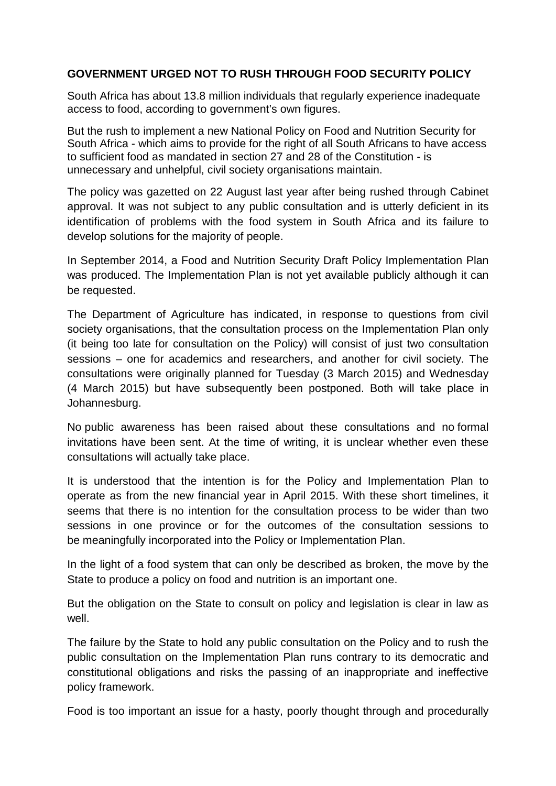## **GOVERNMENT URGED NOT TO RUSH THROUGH FOOD SECURITY POLICY**

South Africa has about 13.8 million individuals that regularly experience inadequate access to food, according to government's own figures.

But the rush to implement a new National Policy on Food and Nutrition Security for South Africa - which aims to provide for the right of all South Africans to have access to sufficient food as mandated in section 27 and 28 of the Constitution - is unnecessary and unhelpful, civil society organisations maintain.

The policy was gazetted on 22 August last year after being rushed through Cabinet approval. It was not subject to any public consultation and is utterly deficient in its identification of problems with the food system in South Africa and its failure to develop solutions for the majority of people.

In September 2014, a Food and Nutrition Security Draft Policy Implementation Plan was produced. The Implementation Plan is not yet available publicly although it can be requested.

The Department of Agriculture has indicated, in response to questions from civil society organisations, that the consultation process on the Implementation Plan only (it being too late for consultation on the Policy) will consist of just two consultation sessions – one for academics and researchers, and another for civil society. The consultations were originally planned for Tuesday (3 March 2015) and Wednesday (4 March 2015) but have subsequently been postponed. Both will take place in Johannesburg.

No public awareness has been raised about these consultations and no formal invitations have been sent. At the time of writing, it is unclear whether even these consultations will actually take place.

It is understood that the intention is for the Policy and Implementation Plan to operate as from the new financial year in April 2015. With these short timelines, it seems that there is no intention for the consultation process to be wider than two sessions in one province or for the outcomes of the consultation sessions to be meaningfully incorporated into the Policy or Implementation Plan.

In the light of a food system that can only be described as broken, the move by the State to produce a policy on food and nutrition is an important one.

But the obligation on the State to consult on policy and legislation is clear in law as well.

The failure by the State to hold any public consultation on the Policy and to rush the public consultation on the Implementation Plan runs contrary to its democratic and constitutional obligations and risks the passing of an inappropriate and ineffective policy framework.

Food is too important an issue for a hasty, poorly thought through and procedurally